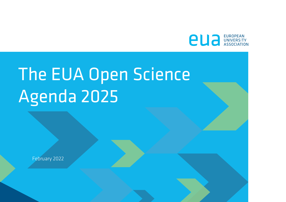

# The EUA Open Science Agenda 2025

February 2022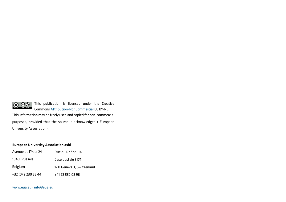

 $\bigodot$   $\bigodot$   $\bigodot$   $\bigodot$  This publication is licensed under the Creative Commons Attribution-NonCommercial CC BY-NC

This information may be freely used and copied for non-commercial purposes, provided that the source is acknowledged ( European University Association).

#### **European University Association asbl**

| Avenue de l'Yser 24 | Rue du Rhône 114           |
|---------------------|----------------------------|
| 1040 Brussels       | Case postale 3174          |
| Belgium             | 1211 Geneva 3, Switzerland |
| +32 (0) 2 230 55 44 | +41 22 552 02 96           |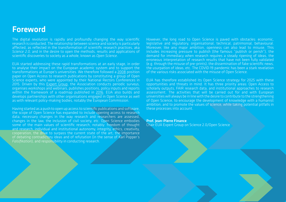The digital revolution is rapidly and profoundly changing the way scientific research is conducted. The relationship between science and society is particularly affected, as reflected in the transformation of scientific research practices, aka *Science 2.0,* and in the desire to open the methods, results and applications of scientific discoveries to society as a whole, known as *Open Science*.

EUA started addressing these rapid transformations at an early stage, in order to analyse their impact on the European academic system and to support the transformations at Europe's universities. We therefore followed a [2008](https://eua.eu/resources/publications/740:recommendations-from-the-eua-working-group-on-open-access.html) position paper on Open Access to research publications by constituting a group of Open Science experts, who were appointed by their National Rectors Conferences in 2015. Driven by this [Expert Group](https://eua.eu/about/working-groups.html), the Association conducts periodic surveys, organises workshops and webinars, publishes positions, policy inputs and reports within the framework of a roadmap published in [2016.](https://eua.eu/resources/publications/627:eua-roadmap-on-open-access-to-research-publications.html) EUA also builds and develops partnerships with other organisations engaged in Open Science as well as with relevant policy-making bodies, notably the European Commission.

Having started as a push to open up access to scientific publications and software, the scope of Open Science has expanded to include opening access to research data, necessary changes in the way research and researchers are assessed, changes in the law, the inclusion of civil society, etc. Open Science embodies some of the main values of scientific research, notably: freedom of thought and research, individual and institutional autonomy, integrity, ethics, creativity, cooperation, the drive to surpass the current state of the art, the importance of debating contradictory ideas and of refutation (in the sense of Karl Popper's *Falsifikation*), and responsibility in conducting research.

However, the long road to Open Science is paved with obstacles: economic, legislative and regulatory, organisational, technical, patrimonial, behavioural. Moreover, like any major ambition, openness can also lead to misuse. This includes increasing pressure to publish (the famous "publish or perish"), the demand for immediacy when research requires a steady ripening of ideas, the erroneous interpretation of research results that have not been fully validated (e.g. through the misuse of pre-prints), the dissemination of fake scientific news, the usurpation of ideas, etc. The COVID-19 pandemic has been a stark revelation of the various risks associated with the misuse of Open Science.

EUA has therefore established its Open Science strategy for 2025 with these opportunities and threats in mind. It has three priority areas: Open Access to scholarly outputs, FAIR research data, and institutional approaches to research assessment. The activities that will be carried out for and with European universities will always be in line with the desire to contribute to the strengthening of Open Science, to encourage the development of knowledge with a humanist ambition, and to promote the values of science, while taking potential pitfalls in these processes into account.

### Prof. Jean-Pierre Finance

Chair EUA Expert Group on Science 2.0/Open Science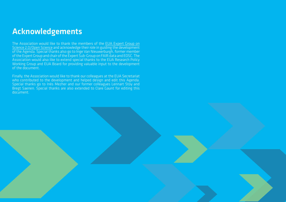### Acknowledgements

The Association would like to thank the members of the [EUA Expert Group on](https://eua.eu/about/working-groups.html)  [Science 2.0/Open Science](https://eua.eu/about/working-groups.html) and acknowledge their role in guiding the development of the Agenda. Special thanks also go to Inge Van Nieuwerburgh, former member of the Expert Group and chair of the Expert Sub-Group on FAIR data and EOSC. The Association would also like to extend special thanks to the EUA Research Policy Working Group and EUA Board for providing valuable input to the development of the document.

Finally, the Association would like to thank our colleagues at the EUA Secretariat who contributed to the development and helped design and edit this Agenda. Special thanks go to Inès Mezher and our former colleagues Lennart Stoy and Bregt Saenen. Special thanks are also extended to Clare Gaunt for editing this document.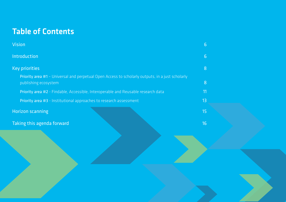# Table of Contents

| <b>Vision</b>                                                                                                            | 6              |
|--------------------------------------------------------------------------------------------------------------------------|----------------|
| Introduction                                                                                                             | $\overline{6}$ |
| <b>Key priorities</b>                                                                                                    | 8              |
| Priority area #1 - Universal and perpetual Open Access to scholarly outputs, in a just scholarly<br>publishing ecosystem | 8              |
| Priority area #2 - Findable, Accessible, Interoperable and Reusable research data                                        | 11             |
| Priority area #3 - Institutional approaches to research assessment                                                       | 13             |
| <b>Horizon scanning</b>                                                                                                  | 15             |
| Taking this agenda forward                                                                                               | 16             |
|                                                                                                                          |                |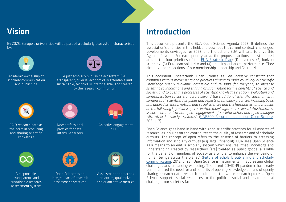## <span id="page-5-0"></span>Vision

By 2025, Europe's universities will be part of a scholarly ecosystem characterised by:



Academic ownership of scholarly communication and publishing



A just scholarly publishing ecosystem (i.e. transparent, diverse, economically affordable and sustainable, technically interoperable, and steered by the research community)



FAIR research data as the norm in producing and sharing scientific knowledge



New professional profiles for dataintensive careers



An active engagement in EOSC



A responsible, transparent, and sustainable research assessment system



Open Science as an integral part of research assessment practices



Introduction

This document presents the EUA Open Science Agenda 2025. It defines the association's priorities in this field, and describes the current context, challenges, developments envisaged for 2025, and the actions EUA will take to drive this Agenda forward. For each priority area, the proposed actions are structured around the four priorities of the [EUA Strategic Plan:](https://eua.eu/downloads/publications/eua strategic plan final.pdf) (1) advocacy, (2) horizon scanning, (3) European solidarity and (4) enabling enhanced performance. They aim to guide the actions of our membership, leadership and Secretariat.

This document understands Open Science as "*an inclusive construct that combines various movements and practices aiming to make multilingual scientific knowledge openly available, accessible and reusable for everyone, to increase scientific collaborations and sharing of information for the benefits of science and society, and to open the processes of scientific knowledge creation, evaluation and communication to societal actors beyond the traditional scientific community. It comprises all scientific disciplines and aspects of scholarly practices, including basic and applied sciences, natural and social sciences and the humanities, and it builds on the following key pillars: open scientific knowledge, open science infrastructures, science communication, open engagement of societal actors and open dialogue with other knowledge systems*" [\(UNESCO Recommendation on Open Science](https://en.unesco.org/science-sustainable-future/open-science/recommendation), 2021, p.7).

Open Science goes hand in hand with good scientific practices for all aspects of research, as it builds on and contributes to the quality of research and of scholarly outputs. The concept of open refers to the absence of barriers to accessing information and scholarly outputs (e.g. legal, financial). EUA sees Open Science as a means to an end: a scholarly system which ensures "that knowledge and understanding created by researchers [are] treated as public goods, available for the benefit of members of society as a whole, to enhance the wellbeing of human beings across the planet" ([Future of scholarly publishing and scholarly](https://op.europa.eu/en/publication-detail/-/publication/464477b3-2559-11e9-8d04-01aa75ed71a1)  [communication](https://op.europa.eu/en/publication-detail/-/publication/464477b3-2559-11e9-8d04-01aa75ed71a1), 2019, p. 25). Open Science is instrumental in addressing global challenges and enhancing wellbeing. The recent COVID-19 pandemic has clearly demonstrated the need for and benefits of opening knowledge up, and of openly sharing research data, research results, and the whole research process. Open Science supports social responses to the political, social and environmental challenges our societies face.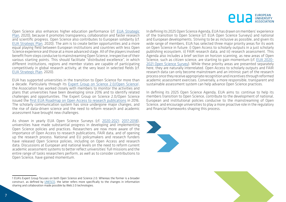

Open Science also enhances higher education performance (cf. [EUA Strategic](https://eua.eu/downloads/content/eua strategic plan final.pdf) [Plan](https://eua.eu/downloads/content/eua strategic plan final.pdf), 2020), because it promotes transparency, collaboration and faster research and scientific progress. Open Science also contributes to European solidarity (cf. [EUA Strategic Plan](https://eua.eu/downloads/content/eua strategic plan final.pdf), 2020). The aim is to create better opportunities and a more equal playing field between European institutions and countries with less Open Science experience and those at a more advanced stage. All of the players involved benefit from steps conducive to mainstreaming Open Science, irrespective of their various starting points. This should facilitate "distributed excellence", in which different institutions, regions and member states are capable of participating competitively in global research activity, at the very least in selected fields (cf. [EUA Strategic Plan](https://eua.eu/downloads/content/eua strategic plan final.pdf), 2020).

EUA has supported universities in the transition to Open Science for more than a decade. Particularly through its <u>[Expert Group on Science 2.0/Open Science](https://eua.eu/about/working-groups.html)</u>!, the Association has worked closely with members to monitor the activities and plans that universities have been developing since 2016 and to identify related challenges and opportunities. The Expert Group on Science 2.0/Open Science issued the [first EUA Roadmap on Open Access to research publications](https://eua.eu/resources/publications/627:eua-roadmap-on-open-access-to-research-publications.html) in 2016. The scholarly communication system has since undergone major changes, and the rise of data-driven science and the need to reform research and academic assessment have brought new challenges.

As shown in yearly EUA Open Science Surveys (cf. [2020-2021;](https://eua.eu/resources/publications/976:from-principles-to-practices-open-science-at-europe%E2%80%99s-universities-2020-2021-eua-open-science-survey-results.html) [2017-2018\)](https://eua.eu/resources/publications/826:2017-2018-eua-open-access-survey-results.html), universities have made substantial progress in developing and implementing Open Science policies and practices. Researchers are now more aware of the importance of Open Access to research publications, FAIR data, and of opening up the research process. National and EU policymakers and research funders have released Open Science policies, including on Open Access and research data. Discussions at European and national levels on the need to reform current academic assessment systems to better reflect universities' full missions and the entire range of tasks researchers perform, as well as to consider contributions to Open Science, have gained momentum.

1 EUA's Expert Group focuses on both Open Science and Science 2.0. Whereas the former is a broader construct, as defined by [UNESCO,](https://en.unesco.org/science-sustainable-future/open-science/recommendation) the latter refers more specifically to the changes in information sharing and collaboration made possible by Web 2.0 technologies.

In defining its 2025 Open Science Agenda, EUA has drawn on members' experience of the transition to Open Science (cf. EUA Open Science Surveys) and national and European developments. Striving to be as inclusive as possible, and given its wide range of members, EUA has selected three major priority areas for its work on Open Science in future: i) Open Access to scholarly outputs in a just scholarly publishing ecosystem, ii) FAIR research data, and iii) research assessment. This Agenda also includes a brief section on horizon scanning, as new areas of Open Science, such as citizen science, are starting to gain momentum (cf. [EUA 2020-](https://eua.eu/resources/publications/976:from-principles-to-practices-open-science-at-europe%E2%80%99s-universities-2020-2021-eua-open-science-survey-results.html) [2021 Open Science Survey\)](https://eua.eu/resources/publications/976:from-principles-to-practices-open-science-at-europe%E2%80%99s-universities-2020-2021-eua-open-science-survey-results.html). While these priority areas are presented separately here, they are naturally interrelated. Open Access to scholarly outputs and FAIR research data can only become mainstream and an intrinsic part of the research process once they receive appropriate recognition and incentives through reformed academic assessment exercises. Conversely, a more responsible, transparent and sustainable assessment system can help advance Open Science practices.

In defining its 2025 Open Science Agenda, EUA aims to: continue to help its members transition to Open Science, contribute to the development of national, European and institutional policies conducive to the mainstreaming of Open Science, and encourage universities to play a more proactive role in the regulatory and financial frameworks shaping this process.



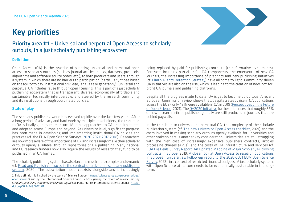# <span id="page-7-0"></span>Key priorities



### Priority area #1 – Universal and perpetual Open Access to scholarly outputs, in a just scholarly publishing ecosystem

#### Definition

Open Access (OA) is the practice of granting universal and perpetual open access to scholarly outputs (such as journal articles, books, datasets, protocols, algorithms and software source codes, etc.), to both producers and users, through a system in which there are no barriers to participation (particularly those based on the ability to pay, institutional privilege, language or geography). Universal and perpetual OA includes reuse through open licensing. This is part of a just scholarly publishing ecosystem that is transparent, diverse, economically affordable and sustainable, technically interoperable, and steered by the research community and its institutions through coordinated policies.<sup>2</sup>

#### State of play

The scholarly publishing world has evolved rapidly over the last few years. After a long period of advocacy and hard work by multiple stakeholders, the transition to OA is finally gaining momentum. Multiple approaches to OA are being tested and adopted across Europe and beyond. At university level, significant progress has been made in developing and implementing institutional OA policies and practices (cf. the EUA Open Science Surveys, [2020-2021;](https://eua.eu/resources/publications/976:from-principles-to-practices-open-science-at-europe%E2%80%99s-universities-2020-2021-eua-open-science-survey-results.html) [2017-2018](https://eua.eu/resources/publications/826:2017-2018-eua-open-access-survey-results.html)). Researchers are now more aware of the importance of OA and increasingly make their scholarly outputs openly available, through repositories or OA publishing. Many national and EU research funders now also require the results of research they fund to be published in an OA format.

The scholarly publishing system has also become much more complex and dynamic (cf. [Read and Publish contracts in the context of a dynamic scholarly publishing](https://eua.eu/downloads/publications/read and publish contracts in the context of a dynamic scholarly publishing system.pdf)  [system](https://eua.eu/downloads/publications/read and publish contracts in the context of a dynamic scholarly publishing system.pdf), 2020). The subscription model coexists alongside and is increasingly being replaced by paid-for-publishing contracts (transformative agreements). Contracts including partial or full OA components, the emergence of new OA journals, the increasing importance of preprints and new publishing initiatives (cf. [Plan S Rights Retention Strategy\)](https://www.coalition-s.org/rights-retention-strategy/) have all come to light. Community-driven OA initiatives are also on the rise, which is leading to the creation of new, not-forprofit OA journals and publishing platforms.

Despite all the progress made to date, OA is yet to become ubiquitous. A recent European Commission review shows that, despite a steady rise in OA publications across the EU27, only 45% were available in OA in 2019 ([Perspectives on the Future](https://op.europa.eu/fr/publication-detail/-/publication/74cfe2bc-200c-11ec-bd8e-01aa75ed71a1)  [of Open Science](https://op.europa.eu/fr/publication-detail/-/publication/74cfe2bc-200c-11ec-bd8e-01aa75ed71a1), 2021). The [OA2020 initiative](https://oa2020.org/wp-content/uploads/pdfs/Open-Access-2020-Executive-Summary.pdf) further estimates that roughly 85% of new research articles published globally are still produced in journals that are behind paywalls.

In the transition to universal and perpetual OA, the complexity of the scholarly publication system (cf. [The new university Open Access checklist,](https://eua.eu/resources/publications/986:the-new-university-open-access-checklist.html) 2021) and the costs involved in making scholarly outputs openly available for universities and other stakeholders is another key consideration. Universities are still struggling with the high cost of increasingly expensive publishers contracts, articles processing charges (APCs), and the costs of OA infrastructure and services (cf. [EUA Big Deals Survey Report: An Updated Mapping of Major Scholarly Publishing](https://eua.eu/resources/publications/829:2019-big-deals-survey-report.html)  [Contracts in Europe,](https://eua.eu/resources/publications/829:2019-big-deals-survey-report.html) 2019; [A closer look at Open Access to research publications](https://eua.eu/resources/publications/1002:a-closer-look-at-open-access-to-research-publications-in-european-universities.html)  [in European universities: Follow-up report to the 2020-2021 EUA Open Science](https://eua.eu/resources/publications/1002:a-closer-look-at-open-access-to-research-publications-in-european-universities.html)  [Survey,](https://eua.eu/resources/publications/1002:a-closer-look-at-open-access-to-research-publications-in-european-universities.html) 2022), in a context of restricted financial budgets. A just scholarly system, with Open Science at its core needs to be economically sustainable in the longterm.

<sup>2</sup> This definition is inspired by the work of Science Europe ([https://scienceeurope.org/our-priorities/](https://scienceeurope.org/our-priorities/open-access/) [open-access/\)](https://scienceeurope.org/our-priorities/open-access/) and by the International Science Council. 2021. *Opening the record of science: making scholarly publishing work for science in the digital era*. Paris, France. International Science Council. [http://](http://doi.org/10.24948/2021.01) [doi.org/10.24948/2021.01](http://doi.org/10.24948/2021.01)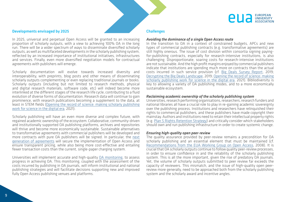

#### Developments envisaged by 2025

In 2025, universal and perpetual Open Access will be granted to an increasing proportion of scholarly outputs, with a view to achieving 100% OA in the long run. There will be a wider spectrum of ways to disseminate diversified scholarly outputs, as well as multifaceted developments in the scholarly publishing system, reflected by an increased importance of institutional initiatives, infrastructures and services. Finally, even more diversified negotiation models for contractual agreements with publishers will emerge.

Scholarly documentation will evolve towards increased diversity and interoperability, with preprints, blog posts and other means of disseminating scholarly outputs complementing or even replacing traditional journals or books. Scholarly outputs (including but not limited to research methods, physical and digital research materials, software code, etc) will indeed become more interlinked at the different stages of the research life cycle, contributing to a fluid evolution of diverse forms of documentation. Research data will continue to gain prominence, with research publications becoming a supplement to the data, at least in STEM fields [\(Opening the record of science: making scholarly publishing](http://doi.org/10.24948/2021.01) [work for science in the digital era](http://doi.org/10.24948/2021.01), 2021).

Scholarly publishing will have an even more diverse and complex future, with regained academic ownership of the ecosystem. Collaborative, community-driven and institutionally supported OA publishing platforms, archives and repositories will thrive and become more economically sustainable. Sustainable alternatives to transformative agreements with commercial publishers will be developed and more contracts with pure OA publishers will be signed. In particular, the [next](https://www.eua.eu/resources/expert-voices/157-beyond-transformative-agreements.html) [generation of agreements](https://www.eua.eu/resources/expert-voices/157-beyond-transformative-agreements.html) will secure the implementation of Open Access and ensure transparent pricing, while also being more cost-effective and entailing fewer transaction costs than the current, single-paper charging system.

Universities will implement accurate and high-quality [OA monitoring,](https://www.scienceeurope.org/media/cqllmhzo/se-oamonitoring-briefing-paper-2021.pdf) to assess progress in achieving OA. This monitoring, coupled with the assessment of the costs incurred by publishing in OA journals, will inform institutional and national publishing strategies and will facilitate decisions supporting new and improved fully Open Access publishing venues and platforms.

#### **Challenges**

#### *Avoiding the dominance of a single Open Access route*

In the transition to OA in a context of constrained budgets, APCs and new types of commercial publishing contracts (e.g. transformative agreements) are still highly onerous. The issue of cost division within consortia signing payingfor-publishing contracts, especially for research-intensive institutions, is also challenging. Disproportionate, soaring costs for research-intensive institutions are not sustainable. And the high profit margins enjoyed by commercial publishers indicate that institutions are spending much more on contracts than the actual costs incurred in such service provision (cf. [Big Deals Survey Report](https://eua.eu/resources/publications/829:2019-big-deals-survey-report.html), 2019; [Decrypting the Big Deals Landscape,](https://eua.eu/resources/publications/889:decrypting-the-big-deal-landscape.html) 2019; [Opening the record of science: making](http://doi.org/10.24948/2021.01)  [scholarly publishing work for science in the digital era](http://doi.org/10.24948/2021.01), 2021). Bibliodiversity is key to allowing a variety of OA publishing modes, and to a more economically sustainable ecosystem.

#### *Reclaiming academic ownership of the scholarly publishing system*

Universities, research performing organisations, researchers, research funders and national libraries all have a crucial role to play in re-gaining academic sovereignty over the publishing process. Institutions and researchers have relinquished their rights to commercial publishers, and these publishers have made copyright their mainstay. Authors and institutions need to retain their intellectual property rights (e.g. [Plan S Rights Retention Strategy](https://www.coalition-s.org/rights-retention-strategy/)) and critically consider which stakeholders should own and run publishing infrastructure in order to create systemic change.

#### *Ensuring high-quality open peer-review*

The quality assurance provided by peer-review remains a precondition for OA scholarly publishing and an essential element that must be maintained (cf. [Recommendations from the EUA Working Group on Open Access](https://eua.eu/downloads/publications/recommendations_open_access_adopted_by_the_eua_council_on_26th_of_march_2008_final_1.pdf), 2008). It is crucial that OA scholarly outputs continue to follow quality peer-review processes, in order to ensure confidence in and the reliability of the scholarly publishing system. This is all the more important, given the rise of predatory OA journals. Yet, the volume of scholarly outputs submitted to peer review far exceeds the capacity of reviewers. This mismatch, and the issue of high-quality open peerreview more generally, need to be approached both from the scholarly publishing system and the scholarly award and incentive angles.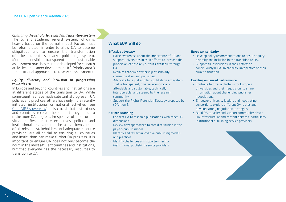#### *Changing the scholarly reward and incentive system*

The current academic reward system, which is heavily based on the Journal Impact Factor, must be reformulated, in order to allow OA to become ubiquitous and to ensure the transformation of the current scholarly publishing system. More responsible, transparent and sustainable assessment practices must be developed for research activities and career development (cf. Priority area 3 - Institutional approaches to research assessment).

#### *Equity, diversity and inclusion in progressing towards OA*

In Europe and beyond, countries and institutions are at different stages of the transition to OA. While some countries have made substantial progress in OA policies and practices, others have only more recently initiated institutional or national activities (see [OpenAIRE's overview](https://www.openaire.eu/os-eu-countries)). It is crucial that institutions and countries receive the support they need to make more OA progress, irrespective of their current situation. Best practice exchanges, political and institutional engagement, the active involvement of all relevant stakeholders and adequate resource provision, are all crucial to ensuring all countries and institutions can make further OA progress. It is important to ensure OA does not only become the norm in the most affluent countries and institutions, but that everyone has the necessary resources to transition to OA.

#### What EUA will do

#### Effective advocacy

- Raise awareness about the importance of OA and support universities in their efforts to increase the proportion of scholarly outputs available through  $\overline{A}$
- Reclaim academic ownership of scholarly communication and publishing.
- Advocate for a just scholarly publishing ecosystem that is transparent, diverse, economically affordable and sustainable, technically interoperable, and steered by the research community.
- Support the Rights Retention Strategy proposed by cOAlition S.

#### Horizon scanning

- Connect OA to research publications with other OS dimensions.
- Review new approaches to cost distribution in the pay-to-publish model.
- Identify and review innovative publishing models and practices.
- Identify challenges and opportunities for institutional publishing service providers.

#### European solidarity

- Develop policy recommendations to ensure equity, diversity and inclusion in the transition to OA.
- Support all institutions in their efforts to continuously build OA capacity, irrespective of their current situation.

#### Enabling enhanced performance

- Continue to offer a platform for Europe's universities and their negotiators to share information about challenging publisher negotiations.
- Empower university leaders and negotiating consortia to explore different OA routes and develop strong negotiation strategies.
- Build OA capacity and support community-driven OA infrastructure and content services, particularly institutional publishing service providers.

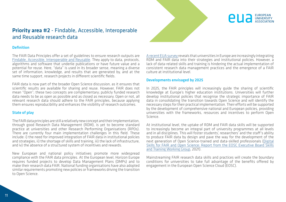

### <span id="page-10-0"></span>Priority area #2 - Findable, Accessible, Interoperable and Reusable research data

#### Definition

The FAIR Data Principles offer a set of guidelines to ensure research outputs are [Findable, Accessible, Interoperable and Reusable](https://www.nature.com/articles/sdata201618). They apply to data, protocols, algorithms and software that underlie publications or have future value and a potential for reuse. Here, "data" is used in its broader sense, meaning a diverse set of information, knowledge, and results that are generated by, and at the same time support, research projects in different scientific fields.

FAIR data is now part of the broader Open Science discussion, as it ensures that scientific results are available for sharing and reuse. However, FAIR does not mean "Open"; these two concepts are complementary; publicly funded research data needs to be as open as possible and as closed as necessary. Open or not, all relevant research data should adhere to the FAIR principles, because applying them ensures reproducibility and enhances the visibility of research outcomes.

#### State of play

The FAIR data principles are still a relatively new concept and their implementation, through good Research Data Management (RDM), is yet to become standard practice at universities and other Research Performing Organisations (RPOs). There are currently four main implementation challenges in this field. These include: i) the need for improved integration of FAIR data in institutional policies and strategies, ii) the shortage of skills and training, iii) the lack of infrastructure, and iv) the absence of a structured system of incentives and rewards.

New European and national policy initiatives promote more widespread compliance with the FAIR data principles. At the European level, Horizon Europe requires funded projects to develop Data Management Plans (DMPs) and to make their research data FAIR. National funding organisations have also adopted similar requirements promoting new policies or frameworks driving the transition to Open Science.

[A recent EUA survey r](https://eua.eu/resources/publications/976:from-principles-to-practices-open-science-at-europe%E2%80%99s-universities-2020-2021-eua-open-science-survey-results.html.)eveals that universities in Europe are increasingly integrating RDM and FAIR data into their strategies and institutional policies. However, a lack of data-related skills and training is hindering the actual implementation of consistent research data management practices and the emergence of a FAIR culture at institutional level.

#### Developments envisaged by 2025

In 2025, the FAIR principles will increasingly guide the sharing of scientific knowledge at Europe's higher education institutions. Universities will further develop institutional policies that recognise the strategic importance of FAIR data in consolidating the transition towards Open Science and will identify the necessary steps for their practical implementation. Their efforts will be supported by the development of comprehensive national and European policies, providing universities with the frameworks, resources and incentives to perform Open Science.

At institutional level, the uptake of RDM and FAIR data skills will be supported to increasingly become an integral part of university programmes at all levels and in all disciplines. This will foster students', researchers' and the staff's ability to produce FAIR data by design and pave the way for the development of the next generation of Open Science-trained and data-skilled professionals ([Digital](https://op.europa.eu/en/publication-detail/-/publication/af7f7807-6ce1-11eb-aeb5-01aa75ed71a1)  [Skills for FAIR and Open Science: Report from the EOSC Executive Board Skills](https://op.europa.eu/en/publication-detail/-/publication/af7f7807-6ce1-11eb-aeb5-01aa75ed71a1)  [and Training Working Group,](https://op.europa.eu/en/publication-detail/-/publication/af7f7807-6ce1-11eb-aeb5-01aa75ed71a1) 2021).

Mainstreaming FAIR research data skills and practices will create the boundary conditions for universities to take full advantage of the benefits offered by engagement in the European Open Science Cloud (EOSC).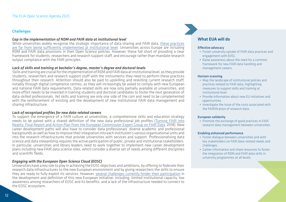#### Challenges

#### *Gap in the implementation of RDM and FAIR data at institutional level*

While universities widely recognise the strategic importance of data sharing and FAIR data, [these practices](https://eua.eu/resources/publications/976:from-principles-to-practices-open-science-at-europe%E2%80%99s-universities-2020-2021-eua-open-science-survey-results.html.)  [are far from being sufficiently implemented at institutional level.](https://eua.eu/resources/publications/976:from-principles-to-practices-open-science-at-europe%E2%80%99s-universities-2020-2021-eua-open-science-survey-results.html.) Universities across Europe are including RDM and FAIR data provisions in their Open Science policies. However, these fall short of providing a clear framework for students, researchers and research support staff, and encourage rather than mandate research output compliance with the FAIR principles.

#### *Lack of skills and training at bachelor's degree, master's degree and doctoral levels*

Skills and training are crucial for the implementation of RDM and FAIR data at institutional level, as they provide students, researchers and research support staff with the instruments they need to perform these practices throughout their research. Attention should also be paid to upskilling and reskilling current research staff, notably through digital competence centres, as they will increasingly be asked to comply with new European and national FAIR data requirements. Data-related skills are now only partially available at universities, and more effort needs to be invested in training students and doctoral candidates to foster the next generation of data-skilled professionals. Yet skills and training are only one side of the coin and need to be complemented with the reinforcement of existing and the development of new institutional FAIR data management and sharing infrastructure.

#### *Lack of recognised profiles for new data-related careers*

To support the emergence of a FAIR culture at universities, a comprehensive skills and education strategy needs to be paired with a shared definition of the new data professional job profiles ([Turning FAIR into](https://op.europa.eu/s/poVD)  [Reality: Final Report and Action Plan from the European Commission Expert Group on FAIR Data,](https://op.europa.eu/s/poVD) 2018). New career development paths will also have to consider data professionals' diverse academic and professional backgrounds as well as how to improve their integration into each institution's various organisational units and into the research infrastructures that provide universities with services and support. Professionalising data science and data stewardship requires the active participation of public, private and institutional stakeholders. In particular, universities and library leaders need to work together to implement new career development plans including new FAIR data science roles, which consider a diverse set of needs among different disciplines and scientific fields.

#### *Engaging with the European Open Science Cloud (EOSC)*

Universities have a key role to play in achieving the EOSC objectives and ambitions, by offering to federate their research data infrastructures to the new European environment and by giving researchers the skills to ensure they are ready to fully exploit its services. However, [several challenges currently hinder their participation](https://zenodo.org/record/5361815#.YcIcCb3MJzo) in the development and definition of this new European initiative, including: limited institutional capacity, low awareness among researchers of EOSC and its benefits, and a lack of the infrastructure needed to connect to the EOSC ecosystem.

#### What **FUA** will do

#### Effective advocacy

- Foster university uptake of FAIR data practices and engagement with EOSC.
- Raise awareness about the need for a common framework for new FAIR data handling and management careers.

#### Horizon scanning

- Map the landscape of institutional policies and practices related to FAIR data, highlighting measures to support skills and training at institutional level.
- Provide information about new EU initiatives and opportunities.
- Investigate the issue of the costs associated with the FAIRification of research data.

#### European solidarity

• Promote the exchange of good practices in FAIR research data management between universities.

#### Enabling enhanced performance

- Foster dialogue between universities and with key stakeholders on FAIR data-related needs and challenges.
- Gather information and share resources to foster the integration of RDM and FAIR data skills in university programmes at all levels.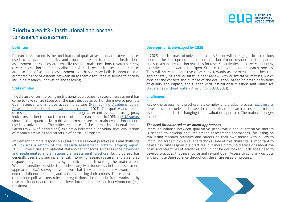

### <span id="page-12-0"></span>Priority area #3 - Institutional approaches to research assessment

#### Definition

Research assessment is the combination of qualitative and quantitative practices used to evaluate the quality and impact of research activities. Institutional assessment approaches are typically used to make decisions regarding hiring, career progression and funding allocation. As such, research assessment practices are also part of academic assessment, which is a more holistic approach that promotes parity of esteem between all academic activities in service to society, including research, innovation and teaching.

#### State of play

The discussion on improving institutional approaches to research assessment has come to take centre stage over the past decade as part of the move to promote Open Science and improve academic culture [\(Reimagining Academic Career](https://eua.eu/resources/publications/952:reimagining-academic-career-assessment-stories-of-innovation-and-change.html) [Assessment: Stories of innovation and change,](https://eua.eu/resources/publications/952:reimagining-academic-career-assessment-stories-of-innovation-and-change.html) 2021). The quality and impact of research activities and careers are to a great extent evaluated using proxy indicators, rather than on the merits of the research itself. In 2019, an [EUA survey](https://eua.eu/resources/publications/888:researchassessment-in-the-transition-to-open-science.html) showed that quantitative publication metrics are the main evaluation practice used by universities. The widespread use of the journal-level Journal Impact Factor (by 75% of institutions) as a proxy indicator in individual-level evaluations of research activities and careers is of particular concern.

Implementing more responsible research assessment practices is a real challenge (cf. [Towards a reform of the research assessment system: scoping report](https://op.europa.eu/en/publication-detail/-/publication/36ebb96c-50c5-11ec-91ac-01aa75ed71a1), 2021). Universities and national stakeholder consortia across Europe [developed](https://eua.eu/resources/publications/952:reimagining-academic-career-assessment-stories-of-innovation-and-change.html) [and implemented more responsible assessment practices,](https://eua.eu/resources/publications/952:reimagining-academic-career-assessment-stories-of-innovation-and-change.html) but progress has generally been slow and incremental. Improving research assessment is a shared responsibility and requires a systematic approach uniting the main actors. While universities consider themselves largely autonomous in their assessment approaches, EUA surveys have shown that they are also keenly aware of the external influences shaping and at times limiting their options. These constraints can include policymakers rules and regulations, the financial frameworks set by research funders and the competitive, international research environment (e.g. rankings).

#### Developments envisaged by 2025

In 2025, a critical mass of universities across Europe will be engaged in discussions about or the development and implementation of more responsible, transparent and sustainable evaluation practices for research activities and careers, including incentives and rewards for Open Science throughout the research process. They will share the objective of working towards assessment approaches that appropriately balance qualitative peer-review with quantitative metrics, which consider the context and purpose of the evaluation, based on broad definitions of quality and impact, and aligned with institutional missions and values (cf. [Universities without walls – A vision for 2030,](https://eua.eu/resources/publications/957:universities-without-walls-%E2%80%93-eua%E2%80%99s-vision-for-europe%E2%80%99s-universities-in-2030.html) 2021).

#### **Challenges**

Reviewing assessment practices is a complex and gradual process. [EUA results](https://eua.eu/resources/publications/888:researchassessment-in-the-transition-to-open-science.html)  have shown that universities see the complexity of research assessment reform as the main barrier to changing their evaluation approach. The main challenges include:

#### *The need for balanced assessment approaches*

Improved balance between qualitative peer-review and quantitative metrics is needed to develop and implement assessment approaches, focussing on evaluating research activities and careers on their own merits with a view to improving academic culture. The technical side of this challenge is important to devise new and responsible practices, but more profound discussions about the goals and objectives of academia should not be overlooked. Both sides need to develop practices that incentivise and reward Open Access to scholarly outputs and promote Open Science throughout the entire research process.

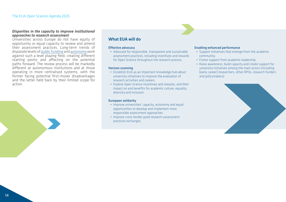#### *Disparities in the capacity to improve institutional approaches to research assessment*

Universities across Europe do not have equity of opportunity or equal capacity to review and amend their assessment practices. Long-term trends of disparate levels of [public funding](http://efficiency.eua.eu/public-funding-observatory) and [autonomy](https://www.university-autonomy.eu/) work against such a level playing field, creating different starting points and affecting on the potential paths forward. The review process will be markedly different at autonomous institutions and at those operating in more centralised systems, with the former facing potential first-mover disadvantages and the latter held back by their limited scope for action.



#### What EUA will do

#### Effective advocacy

• Advocate for responsible, transparent and sustainable assessment practices, including incentives and rewards for Open Science throughout the research process.

#### Horizon scanning

- Establish EUA as an important knowledge hub about university initiatives to improve the evaluation of research activities and careers.
- Explore Open Science incentives and rewards, and their impact on and benefits for academic culture, equality, diversity and inclusion.

#### European solidarity

- Improve universities' capacity, autonomy and equal opportunities to develop and implement more responsible assessment approaches.
- Improve cross-border good research assessment practices exchanges.

#### Enabling enhanced performance

- Support initiatives that emerge from the academic community.
- Foster support from academic leadership.
- Raise awareness, build capacity and create support for university initiatives among the main actors (including [early-career] researchers, other RPOs, research funders and policymakers).

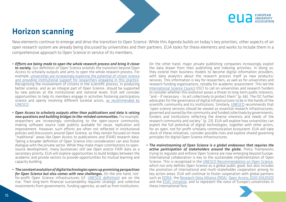



### <span id="page-14-0"></span>Horizon scanning

New elements continue to emerge and drive the transition to Open Science. While this Agenda builds on today's key priorities, other aspects of an open research system are already being discussed by universities and their partners. EUA looks for these elements and works to include them in a comprehensive approach to Open Science in service of its members.

- *• Efforts are being made to open the whole research process and bring it closer to society.* Our definition of Open Science extends the transition beyond Open Access to scholarly outputs and aims to open the whole research process. For example, [universities are increasingly exploring the potential of citizen science](https://www.openaire.eu/blogs/university-approaches-to-citizen-science-in-the-transition-to-open-science) [and providing institutional support for researchers engaging in this practice](https://www.openaire.eu/blogs/university-approaches-to-citizen-science-in-the-transition-to-open-science). Recognising the involvement of citizens in the scientific process, in producing better science, and as an integral part of Open Science, should be supported by new policies at the institutional and national levels. EUA will consider opportunities to help its members engage in activities fostering participatory science and openly involving different societal actors, [as recommended by](https://unesdoc.unesco.org/ark:/48223/pf0000379949.locale=en) [UNESCO](https://unesdoc.unesco.org/ark:/48223/pf0000379949.locale=en).
- *• Open Access to scholarly outputs other than publications and data is raising new questions and building bridges to like-minded communities.* For example, researchers are increasingly contributing to the open-source community, making software source code publicly available for reuse, replication and improvement. However, such efforts are often not reflected in institutional policies and discussions around Open Science, as they remain focused on more "traditional" areas like Open Access to publications and (FAIR) research data. Taking a broader definition of Open Science into consideration can also foster dialogue with the private sector. While they make major contributions to opensource development, many businesses still see Open and/or FAIR data as a secondary priority. EUA will explore opportunities to build bridges between the academic and private sectors to provide opportunities for mutual learning and capacity building.
- *• The constant evolution of digital technologies opens up promising perspectives for Open Science but also comes with new challenges.* On the one hand, notfor-profit Open Science infrastructures (cf. [UNESCO definition\)](https://unesdoc.unesco.org/ark:/48223/pf0000379949.locale=en) are on the rise. Their long-term financial sustainability requires strategic and collective investments from governments, funding agencies, as well as from institutions.

On the other hand, major private publishing companies increasingly exploit the data drawn from their publishing and indexing activities. In doing so, they extend their business models to become digital information providers, with data analytics about the research process itself as new products/ services. This information is key for researchers, as well as for universities and research funding organisations, notably for academic assessment. This led the [International Science Council](http://doi.org/10.24948/2021.01) (ISC) to call on universities and research funders to consider whether this evolution poses a threat to long-term public interests, "and – if necessary – to act collectively to protect them" (p. 66). The ISC further advocates for the governance of digital infrastructures to be in the hands of the scientific community and its institutions. Similarly, [UNESCO](https://unesdoc.unesco.org/ark:/48223/pf0000379949.locale=en) recommends that "open science services should be viewed as essential research infrastructures, governed and owned by the community and funded collectively by governments, funders and institutions reflecting the diverse interests and needs of the research community and society"  $(p, 23)$ . EUA will explore how universities can exploit the full potential of digital technologies, together with other actors, for an open, not-for-profit scholarly communication ecosystem. EUA will take stock of these initiatives, consider possible risks and explore shared governing principles for digital Open Science infrastructures.

*• The mainstreaming of Open Science is a global endeavour that requires the active participation of stakeholders around the globe.* Policy frameworks trying to regulate and enforce Open Science are now emerging beyond Europe. International collaboration is key to the sustainable implementation of Open Science. This is recognised in the [UNESCO Recommendation on Open Science](https://unesdoc.unesco.org/ark:/48223/pf0000379949.locale=en), which not only defines Open Science as a global public good, but also includes the promotion of international and multi-stakeholder cooperation among its key action areas. EUA will continue to foster cooperation with global partners such as [DORA](https://sfdora.org/), the [Research Data Alliance \(RDA\)](https://www.rd-alliance.org/), [Open Access 2020 \(OA2020\)](https://oa2020.org/)  and the [ESAC Initiative](https://esac-initiative.org/); and to represent the voice of Europe's universities in these international fora.

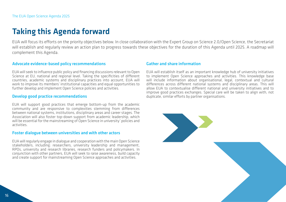# <span id="page-15-0"></span>Taking this Agenda forward

EUA will focus its efforts on the priority objectives below. In close collaboration with the Expert Group on Science 2.0/Open Science, the Secretariat will establish and regularly review an action plan to progress towards these objectives for the duration of this Agenda until 2025. A roadmap will complement this Agenda.

#### Advocate evidence-based policy recommendations

EUA will seek to influence public policy and financing discussions relevant to Open Science at EU, national and regional level. Taking the specificities of different countries, academic systems and disciplinary practices into account, EUA will work to improve its members' institutional capacities and equal opportunities to further develop and implement Open Science policies and activities.

#### Develop good practice recommendations

EUA will support good practices that emerge bottom-up from the academic community and are responsive to complexities stemming from differences between national systems, institutions, disciplinary areas and career stages. The Association will also foster top-down support from academic leadership, which will be essential for the mainstreaming of Open Science in university' policies and activities.

#### Foster dialogue between universities and with other actors

EUA will regularly engage in dialogue and cooperation with the main Open Science stakeholders, including: researchers, university leadership and management, RPOs, university and research libraries, research funders and policymakers. In conjunction with other partners, EUA will seek to raise awareness, build capacity and create support for mainstreaming Open Science approaches and activities.

#### Gather and share information

EUA will establish itself as an important knowledge hub of university initiatives to implement Open Science approaches and activities. This knowledge base will include information about organisational, legal, contextual and cultural differences across different national systems and disciplinary areas. This will allow EUA to contextualise different national and university initiatives and to improve good practices exchanges. Special care will be taken to align with, not duplicate, similar efforts by partner organisations.